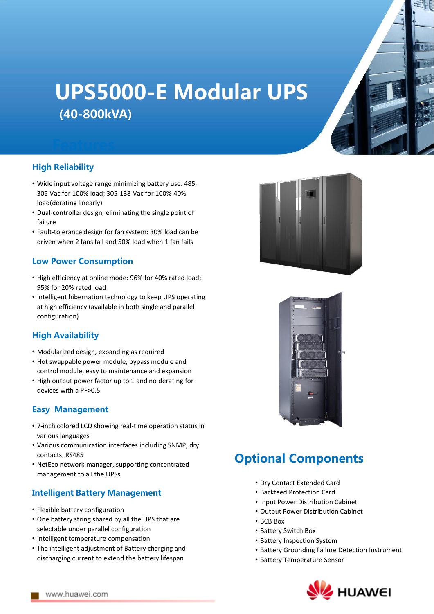# UPS5000-E Modular UPS (40-800kVA)

#### High Reliability

- Wide input voltage range minimizing battery use: 485- 305 Vac for 100% load; 305-138 Vac for 100%-40% load(derating linearly)
- Dual-controller design, eliminating the single point of failure
- Fault-tolerance design for fan system: 30% load can be driven when 2 fans fail and 50% load when 1 fan fails

#### Low Power Consumption

- High efficiency at online mode: 96% for 40% rated load; 95% for 20% rated load
- Intelligent hibernation technology to keep UPS operating at high efficiency (available in both single and parallel configuration)

#### High Availability

- Modularized design, expanding as required
- Hot swappable power module, bypass module and control module, easy to maintenance and expansion
- High output power factor up to 1 and no derating for devices with a PF>0.5

#### Easy Management

- 7-inch colored LCD showing real-time operation status in various languages
- Various communication interfaces including SNMP, dry contacts, RS485
- NetEco network manager, supporting concentrated management to all the UPSs

#### Intelligent Battery Management

- Flexible battery configuration
- One battery string shared by all the UPS that are selectable under parallel configuration
- Intelligent temperature compensation
- The intelligent adjustment of Battery charging and discharging current to extend the battery lifespan





### Optional Components

- Dry Contact Extended Card
- Backfeed Protection Card
- Input Power Distribution Cabinet
- Output Power Distribution Cabinet
- BCB Box
- Battery Switch Box
- Battery Inspection System
- Battery Grounding Failure Detection Instrument
- Battery Temperature Sensor